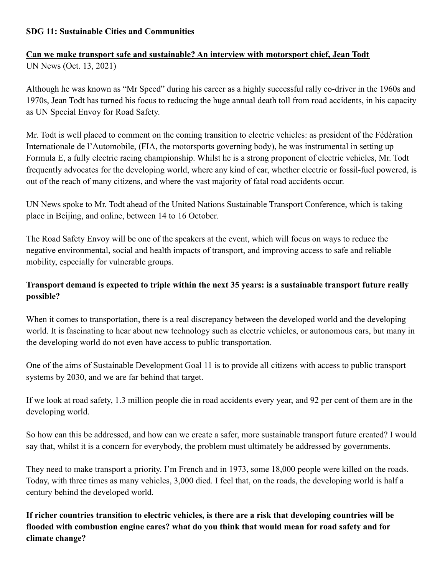## **SDG 11: Sustainable Cities and Communities**

## **Can we make transport safe and sustainable? An interview with motorsport chief, Jean Todt** UN News (Oct. 13, 2021)

Although he was known as "Mr Speed" during his career as a highly successful rally co-driver in the 1960s and 1970s, Jean Todt has turned his focus to reducing the huge annual death toll from road accidents, in his capacity as UN Special Envoy for Road Safety.

Mr. Todt is well placed to comment on the coming transition to electric vehicles: as president of the Fédération Internationale de l'Automobile, (FIA, the motorsports governing body), he was instrumental in setting up Formula E, a fully electric racing championship. Whilst he is a strong proponent of electric vehicles, Mr. Todt frequently advocates for the developing world, where any kind of car, whether electric or fossil-fuel powered, is out of the reach of many citizens, and where the vast majority of fatal road accidents occur.

UN News spoke to Mr. Todt ahead of the United Nations Sustainable Transport Conference, which is taking place in Beijing, and online, between 14 to 16 October.

The Road Safety Envoy will be one of the speakers at the event, which will focus on ways to reduce the negative environmental, social and health impacts of transport, and improving access to safe and reliable mobility, especially for vulnerable groups.

## **Transport demand is expected to triple within the next 35 years: is a sustainable transport future really possible?**

When it comes to transportation, there is a real discrepancy between the developed world and the developing world. It is fascinating to hear about new technology such as electric vehicles, or autonomous cars, but many in the developing world do not even have access to public transportation.

One of the aims of Sustainable Development Goal 11 is to provide all citizens with access to public transport systems by 2030, and we are far behind that target.

If we look at road safety, 1.3 million people die in road accidents every year, and 92 per cent of them are in the developing world.

So how can this be addressed, and how can we create a safer, more sustainable transport future created? I would say that, whilst it is a concern for everybody, the problem must ultimately be addressed by governments.

They need to make transport a priority. I'm French and in 1973, some 18,000 people were killed on the roads. Today, with three times as many vehicles, 3,000 died. I feel that, on the roads, the developing world is half a century behind the developed world.

**If richer countries transition to electric vehicles, is there are a risk that developing countries will be flooded with combustion engine cares? what do you think that would mean for road safety and for climate change?**